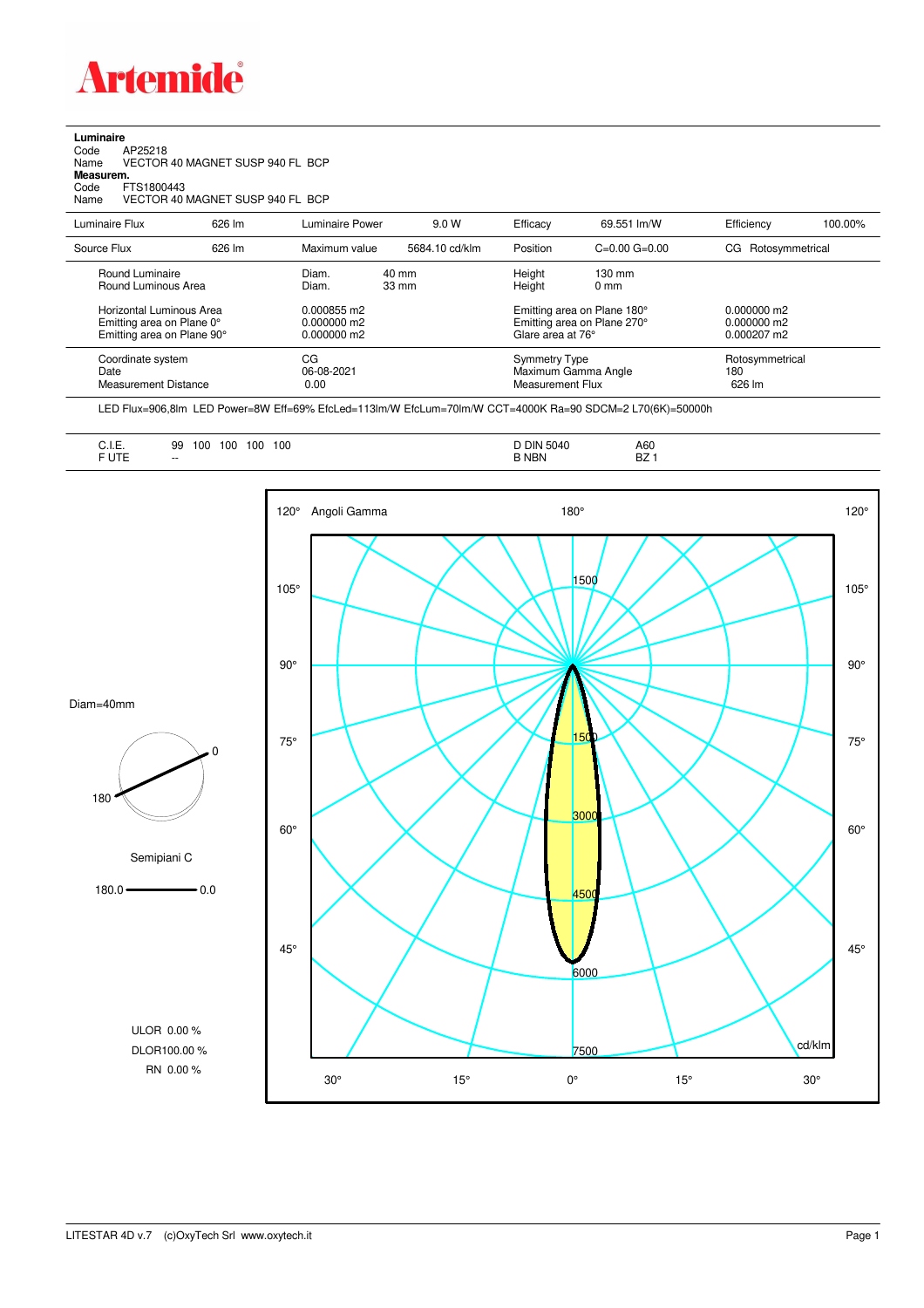

## **Luminaire**<br>Code<br>Name Code AP25218 Name VECTOR 40 MAGNET SUSP 940 FL BCP **Measurem.** Code FTS1800443<br>Name VECTOR 40 VECTOR 40 MAGNET SUSP 940 FL BCP

| Luminaire Flux                                                                             | 626 lm | Luminaire Power                               | 9.0 W                    | Efficacy         | 69.551 lm/W                                                                     | Efficiency                       | 100.00% |
|--------------------------------------------------------------------------------------------|--------|-----------------------------------------------|--------------------------|------------------|---------------------------------------------------------------------------------|----------------------------------|---------|
| Source Flux                                                                                | 626 lm | Maximum value                                 | 5684.10 cd/klm           | Position         | $C=0.00$ $G=0.00$                                                               | Rotosymmetrical<br>CG            |         |
| Round Luminaire<br>Round Luminous Area                                                     |        | Diam.<br>Diam.                                | 40 mm<br>$33 \text{ mm}$ | Height<br>Height | $130 \text{ mm}$<br>$0 \text{ mm}$                                              |                                  |         |
| <b>Horizontal Luminous Area</b><br>Emitting area on Plane 0°<br>Emitting area on Plane 90° |        | 0.000855 m2<br>$0.000000$ m2<br>$0.000000$ m2 |                          |                  | Emitting area on Plane 180°<br>Emitting area on Plane 270°<br>Glare area at 76° |                                  |         |
| Coordinate system<br>Date<br><b>Measurement Distance</b>                                   |        | CG<br>06-08-2021<br>0.00                      |                          |                  | Symmetry Type<br>Maximum Gamma Angle<br>Measurement Flux                        | Rotosymmetrical<br>180<br>626 lm |         |

LED Flux=906,8lm LED Power=8W Eff=69% EfcLed=113lm/W EfcLum=70lm/W CCT=4000K Ra=90 SDCM=2 L70(6K)=50000h